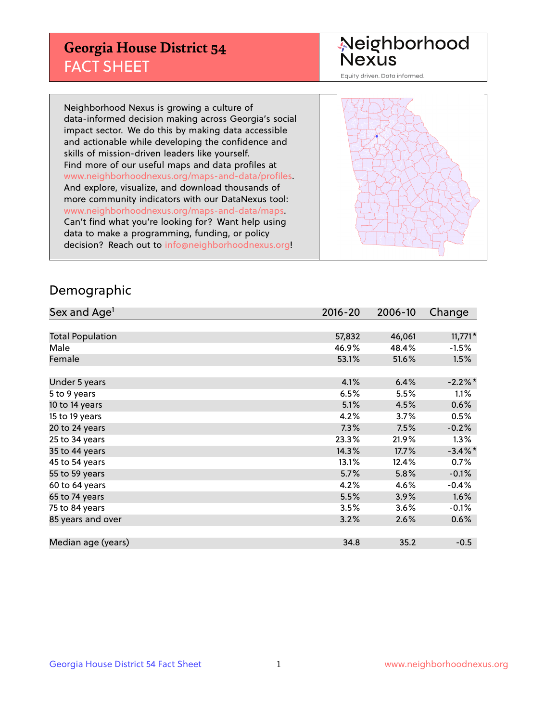## **Georgia House District 54** FACT SHEET

# Neighborhood<br>Nexus

Equity driven. Data informed.

Neighborhood Nexus is growing a culture of data-informed decision making across Georgia's social impact sector. We do this by making data accessible and actionable while developing the confidence and skills of mission-driven leaders like yourself. Find more of our useful maps and data profiles at www.neighborhoodnexus.org/maps-and-data/profiles. And explore, visualize, and download thousands of more community indicators with our DataNexus tool: www.neighborhoodnexus.org/maps-and-data/maps. Can't find what you're looking for? Want help using data to make a programming, funding, or policy decision? Reach out to [info@neighborhoodnexus.org!](mailto:info@neighborhoodnexus.org)



### Demographic

| Sex and Age <sup>1</sup> | $2016 - 20$ | 2006-10 | Change     |
|--------------------------|-------------|---------|------------|
|                          |             |         |            |
| <b>Total Population</b>  | 57,832      | 46,061  | $11,771*$  |
| Male                     | 46.9%       | 48.4%   | $-1.5%$    |
| Female                   | 53.1%       | 51.6%   | 1.5%       |
|                          |             |         |            |
| Under 5 years            | 4.1%        | 6.4%    | $-2.2\%$ * |
| 5 to 9 years             | 6.5%        | 5.5%    | 1.1%       |
| 10 to 14 years           | 5.1%        | 4.5%    | 0.6%       |
| 15 to 19 years           | 4.2%        | 3.7%    | 0.5%       |
| 20 to 24 years           | 7.3%        | 7.5%    | $-0.2%$    |
| 25 to 34 years           | 23.3%       | 21.9%   | $1.3\%$    |
| 35 to 44 years           | 14.3%       | 17.7%   | $-3.4\%$ * |
| 45 to 54 years           | 13.1%       | 12.4%   | 0.7%       |
| 55 to 59 years           | 5.7%        | 5.8%    | $-0.1%$    |
| 60 to 64 years           | 4.2%        | 4.6%    | $-0.4%$    |
| 65 to 74 years           | 5.5%        | 3.9%    | 1.6%       |
| 75 to 84 years           | 3.5%        | 3.6%    | $-0.1%$    |
| 85 years and over        | 3.2%        | 2.6%    | 0.6%       |
|                          |             |         |            |
| Median age (years)       | 34.8        | 35.2    | $-0.5$     |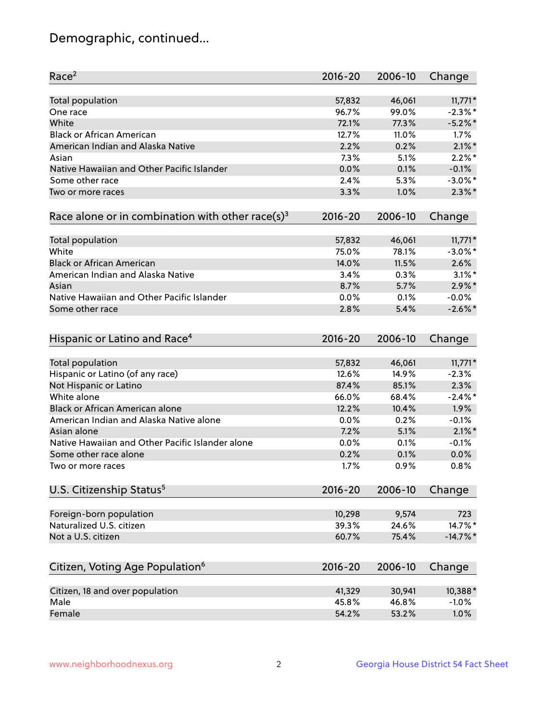## Demographic, continued...

| Race <sup>2</sup>                                            | $2016 - 20$ | 2006-10        | Change        |
|--------------------------------------------------------------|-------------|----------------|---------------|
| <b>Total population</b>                                      | 57,832      | 46,061         | $11,771*$     |
| One race                                                     | 96.7%       | 99.0%          | $-2.3\%$ *    |
| White                                                        | 72.1%       | 77.3%          | $-5.2%$ *     |
| <b>Black or African American</b>                             | 12.7%       | 11.0%          | $1.7\%$       |
| American Indian and Alaska Native                            | 2.2%        | 0.2%           | $2.1\%$ *     |
| Asian                                                        | 7.3%        | 5.1%           | $2.2\%$ *     |
| Native Hawaiian and Other Pacific Islander                   | 0.0%        | 0.1%           | $-0.1%$       |
| Some other race                                              | 2.4%        | 5.3%           | $-3.0\%$ *    |
| Two or more races                                            | 3.3%        | 1.0%           | $2.3\%$ *     |
| Race alone or in combination with other race(s) <sup>3</sup> | $2016 - 20$ | 2006-10        | Change        |
| Total population                                             | 57,832      | 46,061         | $11,771*$     |
| White                                                        | 75.0%       | 78.1%          | $-3.0\%$ *    |
| <b>Black or African American</b>                             | 14.0%       | 11.5%          | 2.6%          |
| American Indian and Alaska Native                            | 3.4%        | 0.3%           | $3.1\%$ *     |
| Asian                                                        | 8.7%        | 5.7%           | $2.9\%$ *     |
| Native Hawaiian and Other Pacific Islander                   | 0.0%        | 0.1%           | $-0.0%$       |
| Some other race                                              | 2.8%        | 5.4%           | $-2.6\%$ *    |
| Hispanic or Latino and Race <sup>4</sup>                     | $2016 - 20$ | 2006-10        | Change        |
| <b>Total population</b>                                      | 57,832      | 46,061         | $11,771*$     |
| Hispanic or Latino (of any race)                             | 12.6%       | 14.9%          | $-2.3%$       |
| Not Hispanic or Latino                                       | 87.4%       | 85.1%          | 2.3%          |
| White alone                                                  | 66.0%       | 68.4%          | $-2.4\%$ *    |
| <b>Black or African American alone</b>                       | 12.2%       | 10.4%          | 1.9%          |
| American Indian and Alaska Native alone                      | 0.0%        | 0.2%           | $-0.1%$       |
| Asian alone                                                  | 7.2%        | 5.1%           | $2.1\%$ *     |
| Native Hawaiian and Other Pacific Islander alone             | 0.0%        | 0.1%           | $-0.1%$       |
| Some other race alone                                        | 0.2%        | 0.1%           | 0.0%          |
| Two or more races                                            | 1.7%        | 0.9%           | 0.8%          |
| U.S. Citizenship Status <sup>5</sup>                         | $2016 - 20$ | 2006-10        | Change        |
|                                                              |             |                |               |
| Foreign-born population<br>Naturalized U.S. citizen          | 10,298      | 9,574          | 723<br>14.7%* |
| Not a U.S. citizen                                           | 39.3%       | 24.6%<br>75.4% |               |
|                                                              | 60.7%       |                | $-14.7%$ *    |
| Citizen, Voting Age Population <sup>6</sup>                  | $2016 - 20$ | 2006-10        | Change        |
| Citizen, 18 and over population                              | 41,329      | 30,941         | 10,388*       |
| Male                                                         | 45.8%       | 46.8%          | $-1.0%$       |
| Female                                                       | 54.2%       | 53.2%          | 1.0%          |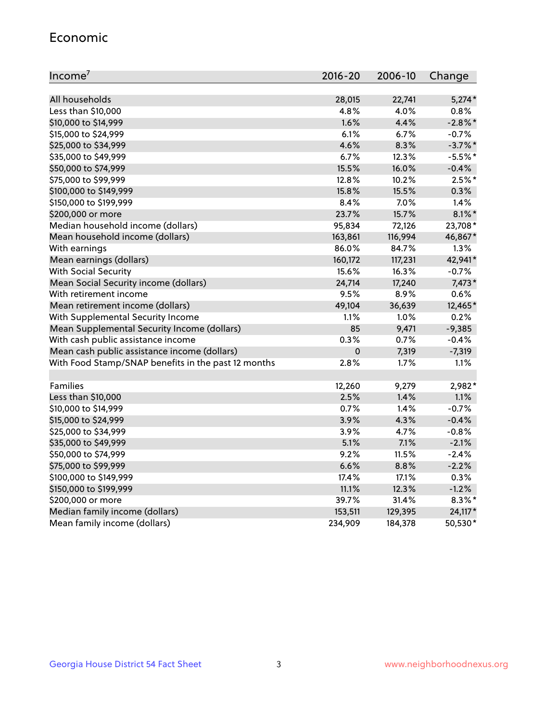#### Economic

| Income <sup>7</sup>                                 | $2016 - 20$ | 2006-10 | Change     |
|-----------------------------------------------------|-------------|---------|------------|
|                                                     |             |         |            |
| All households                                      | 28,015      | 22,741  | $5,274*$   |
| Less than \$10,000                                  | 4.8%        | 4.0%    | 0.8%       |
| \$10,000 to \$14,999                                | 1.6%        | 4.4%    | $-2.8\%$ * |
| \$15,000 to \$24,999                                | 6.1%        | 6.7%    | $-0.7%$    |
| \$25,000 to \$34,999                                | 4.6%        | 8.3%    | $-3.7%$ *  |
| \$35,000 to \$49,999                                | 6.7%        | 12.3%   | $-5.5%$ *  |
| \$50,000 to \$74,999                                | 15.5%       | 16.0%   | $-0.4%$    |
| \$75,000 to \$99,999                                | 12.8%       | 10.2%   | $2.5%$ *   |
| \$100,000 to \$149,999                              | 15.8%       | 15.5%   | 0.3%       |
| \$150,000 to \$199,999                              | 8.4%        | 7.0%    | 1.4%       |
| \$200,000 or more                                   | 23.7%       | 15.7%   | $8.1\%$ *  |
| Median household income (dollars)                   | 95,834      | 72,126  | 23,708*    |
| Mean household income (dollars)                     | 163,861     | 116,994 | 46,867*    |
| With earnings                                       | 86.0%       | 84.7%   | 1.3%       |
| Mean earnings (dollars)                             | 160,172     | 117,231 | 42,941*    |
| <b>With Social Security</b>                         | 15.6%       | 16.3%   | $-0.7%$    |
| Mean Social Security income (dollars)               | 24,714      | 17,240  | 7,473*     |
| With retirement income                              | 9.5%        | 8.9%    | 0.6%       |
| Mean retirement income (dollars)                    | 49,104      | 36,639  | 12,465*    |
| With Supplemental Security Income                   | 1.1%        | $1.0\%$ | 0.2%       |
| Mean Supplemental Security Income (dollars)         | 85          | 9,471   | $-9,385$   |
| With cash public assistance income                  | 0.3%        | 0.7%    | $-0.4%$    |
| Mean cash public assistance income (dollars)        | $\mathbf 0$ | 7,319   | $-7,319$   |
| With Food Stamp/SNAP benefits in the past 12 months | 2.8%        | 1.7%    | 1.1%       |
|                                                     |             |         |            |
| Families                                            | 12,260      | 9,279   | 2,982*     |
| Less than \$10,000                                  | 2.5%        | 1.4%    | $1.1\%$    |
| \$10,000 to \$14,999                                | 0.7%        | 1.4%    | $-0.7%$    |
| \$15,000 to \$24,999                                | 3.9%        | 4.3%    | $-0.4%$    |
| \$25,000 to \$34,999                                | 3.9%        | 4.7%    | $-0.8%$    |
| \$35,000 to \$49,999                                | 5.1%        | 7.1%    | $-2.1%$    |
| \$50,000 to \$74,999                                | 9.2%        | 11.5%   | $-2.4%$    |
| \$75,000 to \$99,999                                | 6.6%        | 8.8%    | $-2.2%$    |
| \$100,000 to \$149,999                              | 17.4%       | 17.1%   | 0.3%       |
| \$150,000 to \$199,999                              | 11.1%       | 12.3%   | $-1.2%$    |
| \$200,000 or more                                   | 39.7%       | 31.4%   | $8.3\%$ *  |
| Median family income (dollars)                      | 153,511     | 129,395 | 24,117*    |
| Mean family income (dollars)                        | 234,909     | 184,378 | 50,530*    |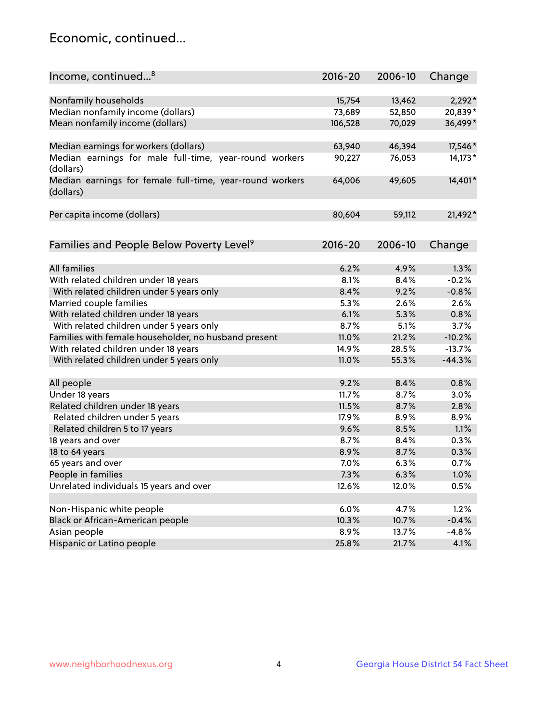## Economic, continued...

| Income, continued <sup>8</sup>                                        | $2016 - 20$ | 2006-10 | Change   |
|-----------------------------------------------------------------------|-------------|---------|----------|
|                                                                       |             |         |          |
| Nonfamily households                                                  | 15,754      | 13,462  | $2,292*$ |
| Median nonfamily income (dollars)                                     | 73,689      | 52,850  | 20,839*  |
| Mean nonfamily income (dollars)                                       | 106,528     | 70,029  | 36,499*  |
| Median earnings for workers (dollars)                                 | 63,940      | 46,394  | 17,546*  |
| Median earnings for male full-time, year-round workers<br>(dollars)   | 90,227      | 76,053  | 14,173*  |
| Median earnings for female full-time, year-round workers<br>(dollars) | 64,006      | 49,605  | 14,401*  |
| Per capita income (dollars)                                           | 80,604      | 59,112  | 21,492*  |
|                                                                       |             |         |          |
| Families and People Below Poverty Level <sup>9</sup>                  | 2016-20     | 2006-10 | Change   |
| <b>All families</b>                                                   | 6.2%        | 4.9%    | 1.3%     |
| With related children under 18 years                                  | 8.1%        | 8.4%    | $-0.2%$  |
| With related children under 5 years only                              | 8.4%        | 9.2%    | $-0.8%$  |
| Married couple families                                               | 5.3%        | 2.6%    | 2.6%     |
| With related children under 18 years                                  | 6.1%        | 5.3%    | 0.8%     |
| With related children under 5 years only                              | 8.7%        | 5.1%    | 3.7%     |
| Families with female householder, no husband present                  | 11.0%       | 21.2%   | $-10.2%$ |
| With related children under 18 years                                  | 14.9%       | 28.5%   | $-13.7%$ |
| With related children under 5 years only                              | 11.0%       | 55.3%   | $-44.3%$ |
|                                                                       |             |         |          |
| All people                                                            | 9.2%        | 8.4%    | 0.8%     |
| Under 18 years                                                        | 11.7%       | 8.7%    | 3.0%     |
| Related children under 18 years                                       | 11.5%       | 8.7%    | 2.8%     |
| Related children under 5 years                                        | 17.9%       | 8.9%    | 8.9%     |
| Related children 5 to 17 years                                        | 9.6%        | 8.5%    | 1.1%     |
| 18 years and over                                                     | 8.7%        | 8.4%    | 0.3%     |
| 18 to 64 years                                                        | 8.9%        | 8.7%    | 0.3%     |
| 65 years and over                                                     | 7.0%        | 6.3%    | 0.7%     |
| People in families                                                    | 7.3%        | 6.3%    | 1.0%     |
| Unrelated individuals 15 years and over                               | 12.6%       | 12.0%   | 0.5%     |
|                                                                       |             |         |          |
| Non-Hispanic white people                                             | 6.0%        | 4.7%    | 1.2%     |
| Black or African-American people                                      | 10.3%       | 10.7%   | $-0.4%$  |
| Asian people                                                          | 8.9%        | 13.7%   | $-4.8%$  |
| Hispanic or Latino people                                             | 25.8%       | 21.7%   | 4.1%     |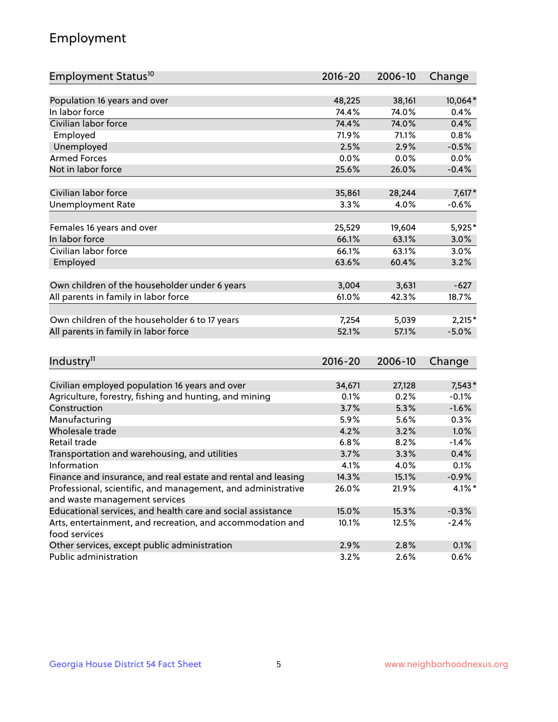## Employment

| Employment Status <sup>10</sup>                                             | $2016 - 20$ | 2006-10 | Change    |
|-----------------------------------------------------------------------------|-------------|---------|-----------|
|                                                                             |             |         |           |
| Population 16 years and over                                                | 48,225      | 38,161  | 10,064*   |
| In labor force                                                              | 74.4%       | 74.0%   | 0.4%      |
| Civilian labor force                                                        | 74.4%       | 74.0%   | 0.4%      |
| Employed                                                                    | 71.9%       | 71.1%   | 0.8%      |
| Unemployed                                                                  | 2.5%        | 2.9%    | $-0.5%$   |
| <b>Armed Forces</b>                                                         | 0.0%        | 0.0%    | 0.0%      |
| Not in labor force                                                          | 25.6%       | 26.0%   | $-0.4%$   |
|                                                                             |             |         |           |
| Civilian labor force                                                        | 35,861      | 28,244  | $7,617*$  |
| <b>Unemployment Rate</b>                                                    | 3.3%        | 4.0%    | $-0.6%$   |
| Females 16 years and over                                                   | 25,529      | 19,604  | 5,925*    |
| In labor force                                                              | 66.1%       | 63.1%   | 3.0%      |
| Civilian labor force                                                        | 66.1%       | 63.1%   | 3.0%      |
| Employed                                                                    | 63.6%       | 60.4%   | 3.2%      |
|                                                                             |             |         |           |
| Own children of the householder under 6 years                               | 3,004       | 3,631   | $-627$    |
| All parents in family in labor force                                        | 61.0%       | 42.3%   | 18.7%     |
| Own children of the householder 6 to 17 years                               | 7,254       | 5,039   | $2,215*$  |
| All parents in family in labor force                                        | 52.1%       | 57.1%   | $-5.0%$   |
|                                                                             |             |         |           |
| Industry <sup>11</sup>                                                      | $2016 - 20$ | 2006-10 | Change    |
|                                                                             |             |         |           |
| Civilian employed population 16 years and over                              | 34,671      | 27,128  | $7,543*$  |
| Agriculture, forestry, fishing and hunting, and mining                      | 0.1%        | 0.2%    | $-0.1%$   |
| Construction                                                                | 3.7%        | 5.3%    | $-1.6%$   |
| Manufacturing                                                               | 5.9%        | 5.6%    | 0.3%      |
| Wholesale trade                                                             | 4.2%        | 3.2%    | 1.0%      |
| Retail trade                                                                | 6.8%        | 8.2%    | $-1.4%$   |
| Transportation and warehousing, and utilities                               | 3.7%        | 3.3%    | 0.4%      |
| Information                                                                 | 4.1%        | 4.0%    | 0.1%      |
| Finance and insurance, and real estate and rental and leasing               | 14.3%       | 15.1%   | $-0.9%$   |
| Professional, scientific, and management, and administrative                | 26.0%       | 21.9%   | $4.1\%$ * |
| and waste management services                                               |             |         |           |
| Educational services, and health care and social assistance                 | 15.0%       | 15.3%   | $-0.3%$   |
| Arts, entertainment, and recreation, and accommodation and<br>food services | 10.1%       | 12.5%   | $-2.4%$   |
| Other services, except public administration                                | 2.9%        | 2.8%    | 0.1%      |
| Public administration                                                       | 3.2%        | 2.6%    | 0.6%      |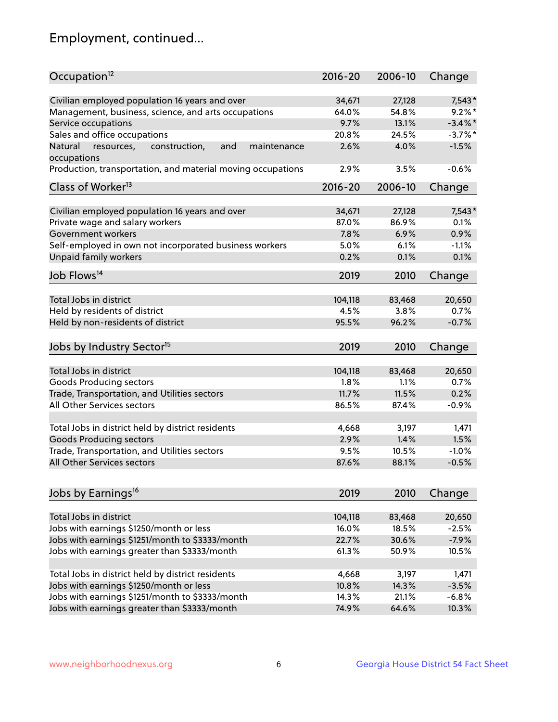## Employment, continued...

| Occupation <sup>12</sup>                                                   | $2016 - 20$ | 2006-10        | Change         |
|----------------------------------------------------------------------------|-------------|----------------|----------------|
| Civilian employed population 16 years and over                             | 34,671      | 27,128         | $7,543*$       |
| Management, business, science, and arts occupations                        | 64.0%       | 54.8%          | $9.2\%$ *      |
| Service occupations                                                        | 9.7%        | 13.1%          | $-3.4\%$ *     |
| Sales and office occupations                                               | 20.8%       | 24.5%          | $-3.7\%$ *     |
| and<br>Natural<br>maintenance                                              | 2.6%        | 4.0%           | $-1.5%$        |
| resources,<br>construction,<br>occupations                                 |             |                |                |
| Production, transportation, and material moving occupations                | 2.9%        | 3.5%           | $-0.6%$        |
| Class of Worker <sup>13</sup>                                              | $2016 - 20$ | 2006-10        | Change         |
| Civilian employed population 16 years and over                             | 34,671      | 27,128         | $7,543*$       |
| Private wage and salary workers                                            | 87.0%       | 86.9%          | 0.1%           |
| Government workers                                                         | 7.8%        | 6.9%           | 0.9%           |
|                                                                            | 5.0%        | 6.1%           | $-1.1%$        |
| Self-employed in own not incorporated business workers                     |             |                | 0.1%           |
| Unpaid family workers                                                      | 0.2%        | 0.1%           |                |
| Job Flows <sup>14</sup>                                                    | 2019        | 2010           | Change         |
| Total Jobs in district                                                     |             |                |                |
| Held by residents of district                                              | 104,118     | 83,468<br>3.8% | 20,650<br>0.7% |
|                                                                            | 4.5%        |                |                |
| Held by non-residents of district                                          | 95.5%       | 96.2%          | $-0.7%$        |
| Jobs by Industry Sector <sup>15</sup>                                      | 2019        | 2010           | Change         |
| Total Jobs in district                                                     | 104,118     | 83,468         | 20,650         |
| Goods Producing sectors                                                    | 1.8%        | 1.1%           | 0.7%           |
|                                                                            | 11.7%       | 11.5%          | 0.2%           |
| Trade, Transportation, and Utilities sectors<br>All Other Services sectors |             |                |                |
|                                                                            | 86.5%       | 87.4%          | $-0.9%$        |
| Total Jobs in district held by district residents                          | 4,668       | 3,197          | 1,471          |
| <b>Goods Producing sectors</b>                                             | 2.9%        | 1.4%           | 1.5%           |
| Trade, Transportation, and Utilities sectors                               | 9.5%        | 10.5%          | $-1.0%$        |
| All Other Services sectors                                                 | 87.6%       | 88.1%          | $-0.5%$        |
|                                                                            |             |                |                |
| Jobs by Earnings <sup>16</sup>                                             | 2019        | 2010           | Change         |
|                                                                            |             |                |                |
| Total Jobs in district                                                     | 104,118     | 83,468         | 20,650         |
| Jobs with earnings \$1250/month or less                                    | 16.0%       | 18.5%          | $-2.5%$        |
| Jobs with earnings \$1251/month to \$3333/month                            | 22.7%       | 30.6%          | $-7.9%$        |
| Jobs with earnings greater than \$3333/month                               | 61.3%       | 50.9%          | 10.5%          |
| Total Jobs in district held by district residents                          | 4,668       | 3,197          | 1,471          |
| Jobs with earnings \$1250/month or less                                    | 10.8%       | 14.3%          | $-3.5%$        |
| Jobs with earnings \$1251/month to \$3333/month                            | 14.3%       | 21.1%          | $-6.8%$        |
| Jobs with earnings greater than \$3333/month                               | 74.9%       | 64.6%          | 10.3%          |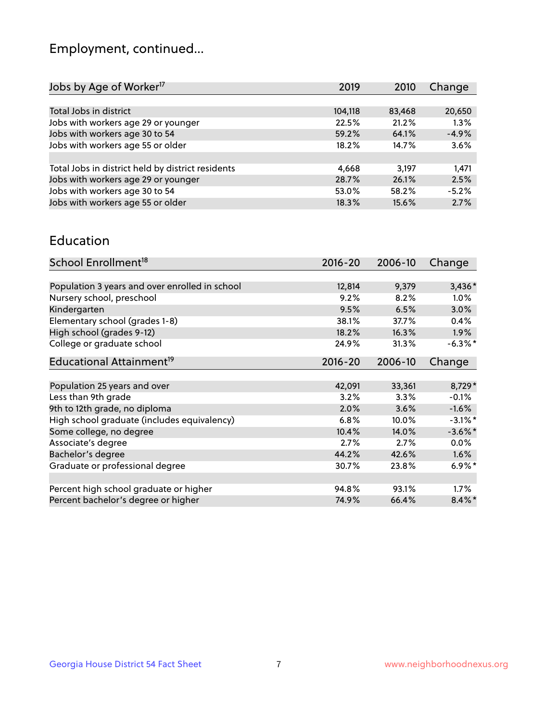## Employment, continued...

| 2019    | 2010   | Change  |
|---------|--------|---------|
|         |        |         |
| 104,118 | 83,468 | 20,650  |
| 22.5%   | 21.2%  | 1.3%    |
| 59.2%   | 64.1%  | $-4.9%$ |
| 18.2%   | 14.7%  | 3.6%    |
|         |        |         |
| 4,668   | 3.197  | 1.471   |
| 28.7%   | 26.1%  | 2.5%    |
| 53.0%   | 58.2%  | $-5.2%$ |
| 18.3%   | 15.6%  | 2.7%    |
|         |        |         |

#### Education

| School Enrollment <sup>18</sup>                | $2016 - 20$ | 2006-10 | Change               |
|------------------------------------------------|-------------|---------|----------------------|
|                                                |             |         |                      |
| Population 3 years and over enrolled in school | 12,814      | 9,379   | $3,436*$             |
| Nursery school, preschool                      | 9.2%        | 8.2%    | $1.0\%$              |
| Kindergarten                                   | 9.5%        | 6.5%    | 3.0%                 |
| Elementary school (grades 1-8)                 | 38.1%       | 37.7%   | 0.4%                 |
| High school (grades 9-12)                      | 18.2%       | 16.3%   | $1.9\%$              |
| College or graduate school                     | 24.9%       | 31.3%   | $-6.3\%$ *           |
| Educational Attainment <sup>19</sup>           | $2016 - 20$ | 2006-10 | Change               |
|                                                |             |         |                      |
| Population 25 years and over                   | 42,091      | 33,361  | 8,729*               |
| Less than 9th grade                            | 3.2%        | 3.3%    | $-0.1%$              |
| 9th to 12th grade, no diploma                  | 2.0%        | 3.6%    | $-1.6%$              |
| High school graduate (includes equivalency)    | 6.8%        | 10.0%   | $-3.1\%$ *           |
| Some college, no degree                        | 10.4%       | 14.0%   | $-3.6\%$ *           |
| Associate's degree                             | 2.7%        | 2.7%    | 0.0%                 |
| Bachelor's degree                              | 44.2%       | 42.6%   | 1.6%                 |
| Graduate or professional degree                | 30.7%       | 23.8%   | $6.9\%$ <sup>*</sup> |
|                                                |             |         |                      |
| Percent high school graduate or higher         | 94.8%       | 93.1%   | $1.7\%$              |
| Percent bachelor's degree or higher            | 74.9%       | 66.4%   | $8.4\%$ *            |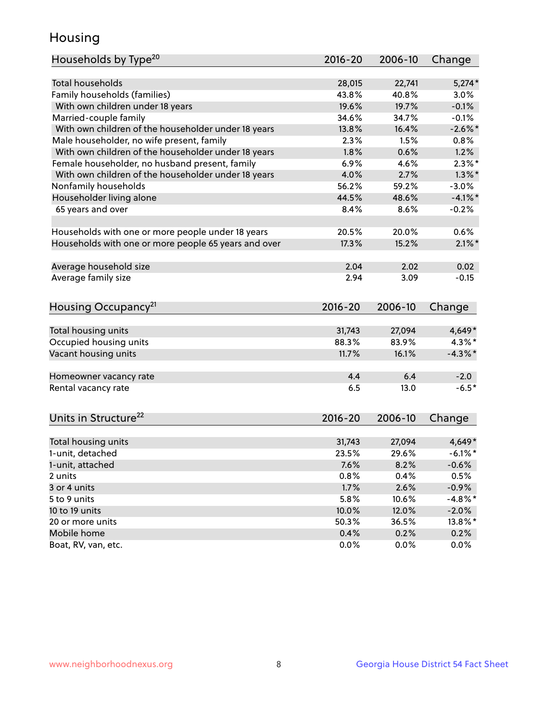## Housing

| Households by Type <sup>20</sup>                     | 2016-20      | 2006-10      | Change       |
|------------------------------------------------------|--------------|--------------|--------------|
|                                                      |              |              |              |
| <b>Total households</b>                              | 28,015       | 22,741       | $5,274*$     |
| Family households (families)                         | 43.8%        | 40.8%        | 3.0%         |
| With own children under 18 years                     | 19.6%        | 19.7%        | $-0.1%$      |
| Married-couple family                                | 34.6%        | 34.7%        | $-0.1%$      |
| With own children of the householder under 18 years  | 13.8%        | 16.4%        | $-2.6\%$ *   |
| Male householder, no wife present, family            | 2.3%         | 1.5%         | 0.8%         |
| With own children of the householder under 18 years  | 1.8%         | 0.6%         | 1.2%         |
| Female householder, no husband present, family       | 6.9%         | 4.6%         | $2.3\%$ *    |
| With own children of the householder under 18 years  | 4.0%         | 2.7%         | $1.3\%$ *    |
| Nonfamily households                                 | 56.2%        | 59.2%        | $-3.0%$      |
| Householder living alone                             | 44.5%        | 48.6%        | $-4.1%$ *    |
| 65 years and over                                    | 8.4%         | 8.6%         | $-0.2%$      |
|                                                      |              |              |              |
| Households with one or more people under 18 years    | 20.5%        | 20.0%        | 0.6%         |
| Households with one or more people 65 years and over | 17.3%        | 15.2%        | $2.1\%$ *    |
|                                                      |              |              |              |
| Average household size                               | 2.04         | 2.02         | 0.02         |
| Average family size                                  | 2.94         | 3.09         | $-0.15$      |
|                                                      |              |              |              |
| Housing Occupancy <sup>21</sup>                      | $2016 - 20$  | 2006-10      | Change       |
|                                                      |              |              |              |
| Total housing units                                  | 31,743       | 27,094       | 4,649*       |
| Occupied housing units                               | 88.3%        | 83.9%        | $4.3\%$ *    |
| Vacant housing units                                 | 11.7%        | 16.1%        | $-4.3\%$ *   |
|                                                      |              |              |              |
| Homeowner vacancy rate                               | 4.4          | 6.4          | $-2.0$       |
| Rental vacancy rate                                  | 6.5          | 13.0         | $-6.5*$      |
|                                                      |              |              |              |
|                                                      |              |              |              |
| Units in Structure <sup>22</sup>                     | $2016 - 20$  | 2006-10      | Change       |
|                                                      |              |              |              |
| Total housing units                                  | 31,743       | 27,094       | 4,649*       |
| 1-unit, detached                                     |              |              |              |
|                                                      | 23.5%        | 29.6%        | $-6.1\%$ *   |
| 1-unit, attached                                     | 7.6%         | 8.2%         | $-0.6%$      |
| 2 units                                              | 0.8%         | 0.4%         | 0.5%         |
| 3 or 4 units                                         | 1.7%         | 2.6%         | $-0.9%$      |
| 5 to 9 units                                         | 5.8%         | 10.6%        | $-4.8\%$ *   |
| 10 to 19 units                                       | 10.0%        | 12.0%        | $-2.0\%$     |
| 20 or more units                                     | 50.3%        | 36.5%        | 13.8%*       |
| Mobile home<br>Boat, RV, van, etc.                   | 0.4%<br>0.0% | 0.2%<br>0.0% | 0.2%<br>0.0% |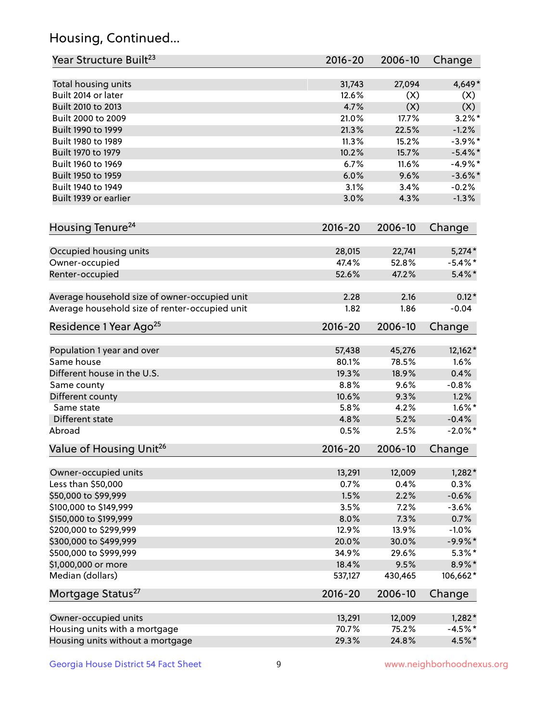## Housing, Continued...

| Year Structure Built <sup>23</sup>             | 2016-20     | 2006-10 | Change     |
|------------------------------------------------|-------------|---------|------------|
| Total housing units                            | 31,743      | 27,094  | 4,649*     |
| Built 2014 or later                            | 12.6%       | (X)     | (X)        |
| Built 2010 to 2013                             | 4.7%        | (X)     | (X)        |
| Built 2000 to 2009                             | 21.0%       | 17.7%   | $3.2\%$ *  |
| Built 1990 to 1999                             | 21.3%       | 22.5%   | $-1.2%$    |
| Built 1980 to 1989                             | 11.3%       | 15.2%   | $-3.9%$ *  |
| Built 1970 to 1979                             | 10.2%       | 15.7%   | $-5.4\%$ * |
| Built 1960 to 1969                             | 6.7%        | 11.6%   | $-4.9%$ *  |
| Built 1950 to 1959                             | 6.0%        | 9.6%    | $-3.6\%$ * |
| Built 1940 to 1949                             | 3.1%        | 3.4%    | $-0.2%$    |
| Built 1939 or earlier                          | 3.0%        | 4.3%    | $-1.3%$    |
| Housing Tenure <sup>24</sup>                   | $2016 - 20$ | 2006-10 | Change     |
| Occupied housing units                         | 28,015      | 22,741  | $5,274*$   |
| Owner-occupied                                 | 47.4%       | 52.8%   | $-5.4\%$ * |
| Renter-occupied                                | 52.6%       | 47.2%   | $5.4\%$ *  |
| Average household size of owner-occupied unit  | 2.28        | 2.16    | $0.12*$    |
| Average household size of renter-occupied unit | 1.82        | 1.86    | $-0.04$    |
| Residence 1 Year Ago <sup>25</sup>             | $2016 - 20$ | 2006-10 | Change     |
| Population 1 year and over                     | 57,438      | 45,276  | 12,162*    |
| Same house                                     | 80.1%       | 78.5%   | 1.6%       |
| Different house in the U.S.                    | 19.3%       | 18.9%   | 0.4%       |
| Same county                                    | 8.8%        | 9.6%    | $-0.8%$    |
| Different county                               | 10.6%       | 9.3%    | 1.2%       |
| Same state                                     | 5.8%        | 4.2%    | $1.6\%$ *  |
| Different state                                | 4.8%        | 5.2%    | $-0.4%$    |
| Abroad                                         | 0.5%        | 2.5%    | $-2.0\%$ * |
| Value of Housing Unit <sup>26</sup>            | $2016 - 20$ | 2006-10 | Change     |
| Owner-occupied units                           | 13,291      | 12,009  | $1,282*$   |
| Less than \$50,000                             | 0.7%        | 0.4%    | 0.3%       |
| \$50,000 to \$99,999                           | 1.5%        | 2.2%    | $-0.6%$    |
| \$100,000 to \$149,999                         | 3.5%        | 7.2%    | $-3.6%$    |
| \$150,000 to \$199,999                         | 8.0%        | 7.3%    | 0.7%       |
| \$200,000 to \$299,999                         | 12.9%       | 13.9%   | $-1.0%$    |
| \$300,000 to \$499,999                         | 20.0%       | 30.0%   | $-9.9\%*$  |
| \$500,000 to \$999,999                         | 34.9%       | 29.6%   | $5.3\%$ *  |
| \$1,000,000 or more                            | 18.4%       | 9.5%    | 8.9%*      |
| Median (dollars)                               | 537,127     | 430,465 | $106,662*$ |
| Mortgage Status <sup>27</sup>                  | $2016 - 20$ | 2006-10 | Change     |
| Owner-occupied units                           | 13,291      | 12,009  | $1,282*$   |
| Housing units with a mortgage                  | 70.7%       | 75.2%   | $-4.5%$ *  |
| Housing units without a mortgage               | 29.3%       | 24.8%   | 4.5%*      |
|                                                |             |         |            |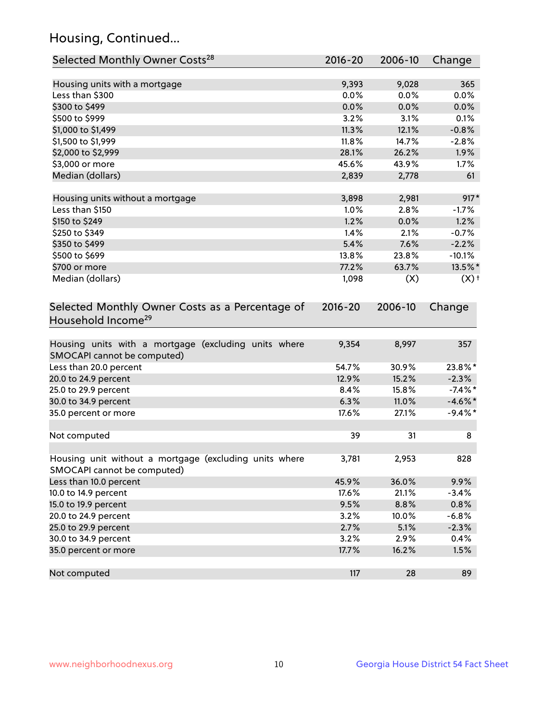## Housing, Continued...

| Selected Monthly Owner Costs <sup>28</sup>                                            | 2016-20     | 2006-10 | Change             |
|---------------------------------------------------------------------------------------|-------------|---------|--------------------|
| Housing units with a mortgage                                                         | 9,393       | 9,028   | 365                |
| Less than \$300                                                                       | 0.0%        | 0.0%    | 0.0%               |
| \$300 to \$499                                                                        | 0.0%        | 0.0%    | 0.0%               |
| \$500 to \$999                                                                        | 3.2%        | 3.1%    | 0.1%               |
| \$1,000 to \$1,499                                                                    | 11.3%       | 12.1%   | $-0.8%$            |
| \$1,500 to \$1,999                                                                    | 11.8%       | 14.7%   | $-2.8%$            |
| \$2,000 to \$2,999                                                                    | 28.1%       | 26.2%   | 1.9%               |
| \$3,000 or more                                                                       | 45.6%       | 43.9%   | 1.7%               |
| Median (dollars)                                                                      | 2,839       | 2,778   | 61                 |
| Housing units without a mortgage                                                      | 3,898       | 2,981   | $917*$             |
| Less than \$150                                                                       | 1.0%        | 2.8%    | $-1.7%$            |
| \$150 to \$249                                                                        | 1.2%        | 0.0%    | 1.2%               |
| \$250 to \$349                                                                        | 1.4%        | 2.1%    | $-0.7%$            |
| \$350 to \$499                                                                        | 5.4%        | 7.6%    | $-2.2%$            |
| \$500 to \$699                                                                        | 13.8%       | 23.8%   | $-10.1%$           |
| \$700 or more                                                                         | 77.2%       | 63.7%   | 13.5%*             |
| Median (dollars)                                                                      | 1,098       | (X)     | $(X)$ <sup>+</sup> |
| Selected Monthly Owner Costs as a Percentage of<br>Household Income <sup>29</sup>     | $2016 - 20$ | 2006-10 | Change             |
| Housing units with a mortgage (excluding units where<br>SMOCAPI cannot be computed)   | 9,354       | 8,997   | 357                |
| Less than 20.0 percent                                                                | 54.7%       | 30.9%   | 23.8%*             |
| 20.0 to 24.9 percent                                                                  | 12.9%       | 15.2%   | $-2.3%$            |
| 25.0 to 29.9 percent                                                                  | 8.4%        | 15.8%   | $-7.4\%$ *         |
| 30.0 to 34.9 percent                                                                  | 6.3%        | 11.0%   | $-4.6\%$ *         |
| 35.0 percent or more                                                                  | 17.6%       | 27.1%   | $-9.4\%$ *         |
| Not computed                                                                          | 39          | 31      | 8                  |
| Housing unit without a mortgage (excluding units where<br>SMOCAPI cannot be computed) | 3,781       | 2,953   | 828                |
| Less than 10.0 percent                                                                | 45.9%       | 36.0%   | 9.9%               |
| 10.0 to 14.9 percent                                                                  | 17.6%       | 21.1%   | $-3.4%$            |
| 15.0 to 19.9 percent                                                                  | 9.5%        | 8.8%    | 0.8%               |
| 20.0 to 24.9 percent                                                                  | 3.2%        | 10.0%   | $-6.8%$            |
| 25.0 to 29.9 percent                                                                  | 2.7%        | 5.1%    | $-2.3%$            |
| 30.0 to 34.9 percent                                                                  | 3.2%        | 2.9%    | 0.4%               |
| 35.0 percent or more                                                                  | 17.7%       | 16.2%   | 1.5%               |
| Not computed                                                                          | 117         | 28      | 89                 |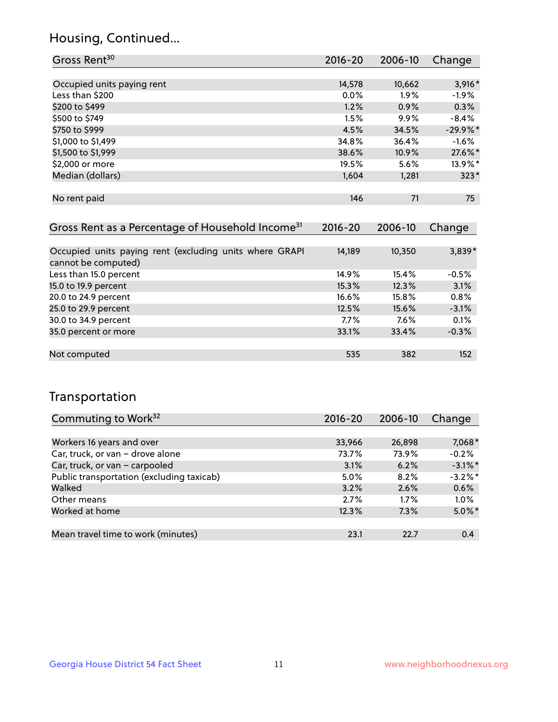## Housing, Continued...

| Gross Rent <sup>30</sup>   | 2016-20 | 2006-10 | Change     |
|----------------------------|---------|---------|------------|
|                            |         |         |            |
| Occupied units paying rent | 14,578  | 10,662  | $3,916*$   |
| Less than \$200            | 0.0%    | 1.9%    | $-1.9%$    |
| \$200 to \$499             | 1.2%    | 0.9%    | 0.3%       |
| \$500 to \$749             | 1.5%    | 9.9%    | $-8.4%$    |
| \$750 to \$999             | 4.5%    | 34.5%   | $-29.9%$ * |
| \$1,000 to \$1,499         | 34.8%   | 36.4%   | $-1.6%$    |
| \$1,500 to \$1,999         | 38.6%   | 10.9%   | 27.6%*     |
| \$2,000 or more            | 19.5%   | 5.6%    | 13.9%*     |
| Median (dollars)           | 1,604   | 1,281   | $323*$     |
|                            |         |         |            |
| No rent paid               | 146     | 71      | 75         |

| Gross Rent as a Percentage of Household Income <sup>31</sup>                   | $2016 - 20$ | 2006-10  | Change  |
|--------------------------------------------------------------------------------|-------------|----------|---------|
|                                                                                |             |          |         |
| Occupied units paying rent (excluding units where GRAPI<br>cannot be computed) | 14,189      | 10,350   | 3,839*  |
| Less than 15.0 percent                                                         | 14.9%       | 15.4%    | $-0.5%$ |
| 15.0 to 19.9 percent                                                           | 15.3%       | 12.3%    | 3.1%    |
| 20.0 to 24.9 percent                                                           | 16.6%       | $15.8\%$ | 0.8%    |
| 25.0 to 29.9 percent                                                           | 12.5%       | 15.6%    | $-3.1%$ |
| 30.0 to 34.9 percent                                                           | $7.7\%$     | $7.6\%$  | 0.1%    |
| 35.0 percent or more                                                           | 33.1%       | 33.4%    | $-0.3%$ |
|                                                                                |             |          |         |
| Not computed                                                                   | 535         | 382      | 152     |

## Transportation

| Commuting to Work <sup>32</sup>           | 2016-20 | 2006-10 | Change     |
|-------------------------------------------|---------|---------|------------|
|                                           |         |         |            |
| Workers 16 years and over                 | 33,966  | 26,898  | 7,068*     |
| Car, truck, or van - drove alone          | 73.7%   | 73.9%   | $-0.2%$    |
| Car, truck, or van - carpooled            | 3.1%    | 6.2%    | $-3.1\%$ * |
| Public transportation (excluding taxicab) | 5.0%    | 8.2%    | $-3.2\%$ * |
| Walked                                    | 3.2%    | 2.6%    | 0.6%       |
| Other means                               | 2.7%    | $1.7\%$ | $1.0\%$    |
| Worked at home                            | 12.3%   | 7.3%    | $5.0\%$ *  |
|                                           |         |         |            |
| Mean travel time to work (minutes)        | 23.1    | 22.7    | 0.4        |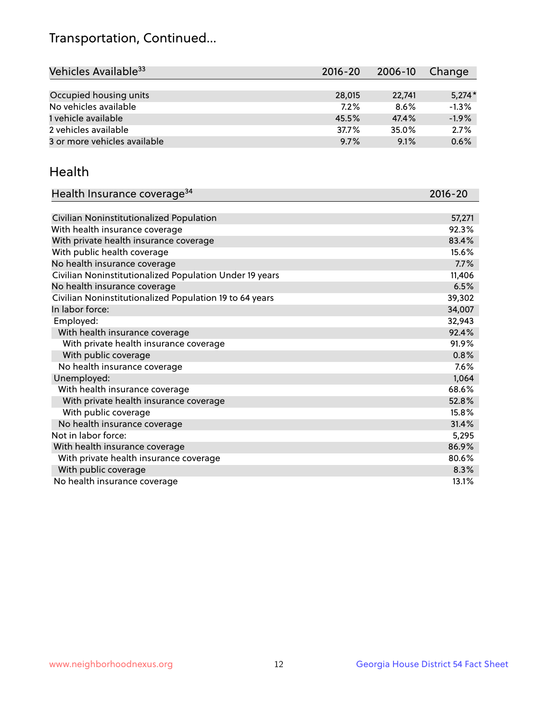## Transportation, Continued...

| Vehicles Available <sup>33</sup> | $2016 - 20$ | 2006-10 | Change   |
|----------------------------------|-------------|---------|----------|
|                                  |             |         |          |
| Occupied housing units           | 28,015      | 22,741  | $5,274*$ |
| No vehicles available            | 7.2%        | 8.6%    | $-1.3%$  |
| 1 vehicle available              | 45.5%       | 47.4%   | $-1.9%$  |
| 2 vehicles available             | 37.7%       | 35.0%   | 2.7%     |
| 3 or more vehicles available     | 9.7%        | 9.1%    | 0.6%     |

#### Health

| Health Insurance coverage <sup>34</sup>                 | 2016-20 |
|---------------------------------------------------------|---------|
|                                                         |         |
| Civilian Noninstitutionalized Population                | 57,271  |
| With health insurance coverage                          | 92.3%   |
| With private health insurance coverage                  | 83.4%   |
| With public health coverage                             | 15.6%   |
| No health insurance coverage                            | 7.7%    |
| Civilian Noninstitutionalized Population Under 19 years | 11,406  |
| No health insurance coverage                            | 6.5%    |
| Civilian Noninstitutionalized Population 19 to 64 years | 39,302  |
| In labor force:                                         | 34,007  |
| Employed:                                               | 32,943  |
| With health insurance coverage                          | 92.4%   |
| With private health insurance coverage                  | 91.9%   |
| With public coverage                                    | 0.8%    |
| No health insurance coverage                            | 7.6%    |
| Unemployed:                                             | 1,064   |
| With health insurance coverage                          | 68.6%   |
| With private health insurance coverage                  | 52.8%   |
| With public coverage                                    | 15.8%   |
| No health insurance coverage                            | 31.4%   |
| Not in labor force:                                     | 5,295   |
| With health insurance coverage                          | 86.9%   |
| With private health insurance coverage                  | 80.6%   |
| With public coverage                                    | 8.3%    |
| No health insurance coverage                            | 13.1%   |